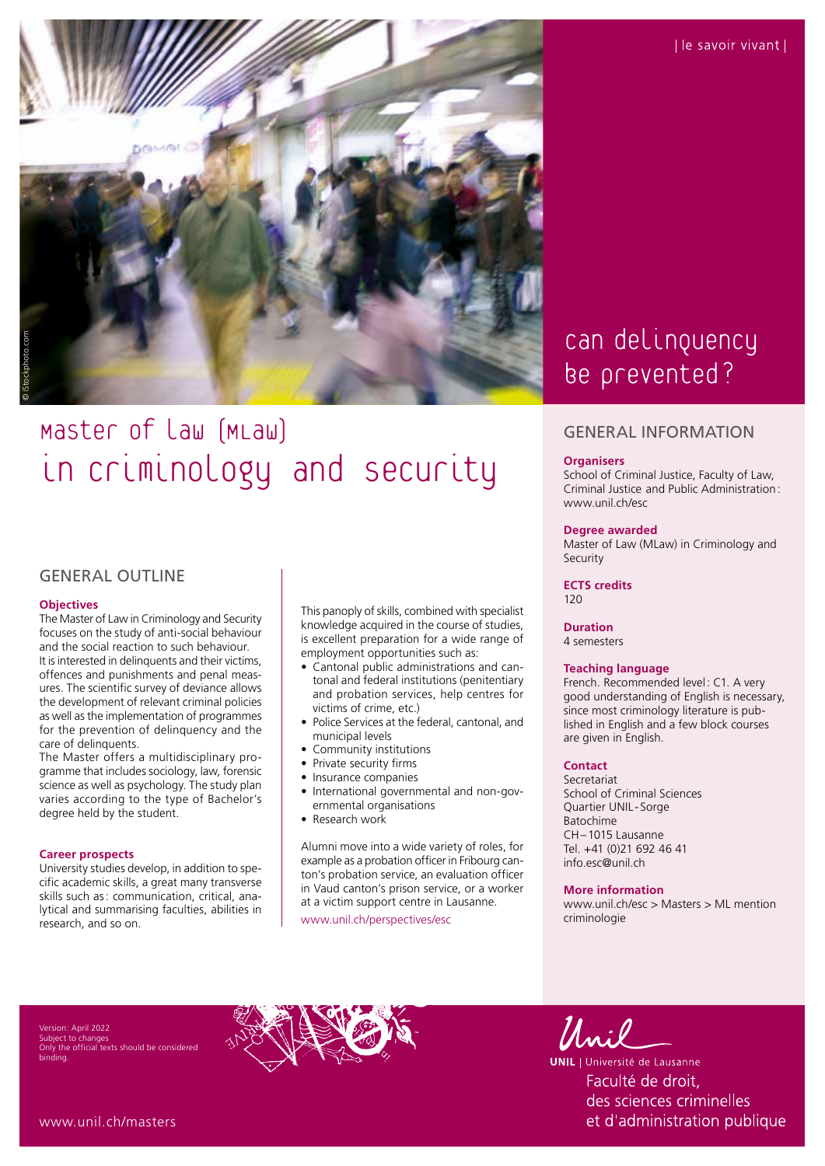

# Master of law (MLaw) in Criminology and Security

### GENERAL OUTLINE

### **Objectives**

The Master of Law in Criminology and Security focuses on the study of anti-social behaviour and the social reaction to such behaviour. It is interested in delinquents and their victims. offences and punishments and penal measures. The scientific survey of deviance allows the development of relevant criminal policies as well as the implementation of programmes for the prevention of delinquency and the care of delinquents.

The Master offers a multidisciplinary programme that includes sociology, law, forensic science as well as psychology. The study plan varies according to the type of Bachelor's degree held by the student.

### **Career prospects**

University studies develop, in addition to specific academic skills, a great many transverse skills such as: communication, critical, analytical and summarising faculties, abilities in research, and so on.

This panoply of skills, combined with specialist knowledge acquired in the course of studies, is excellent preparation for a wide range of employment opportunities such as:

- Cantonal public administrations and cantonal and federal institutions (penitentiary and probation services, help centres for victims of crime, etc.)
- Police Services at the federal, cantonal, and municipal levels
- Community institutions
- Private security firms
- Insurance companies
- International governmental and non-governmental organisations
- Research work

Alumni move into a wide variety of roles, for example as a probation officer in Fribourg canton's probation service, an evaluation officer in Vaud canton's prison service, or a worker at a victim support centre in Lausanne.

[www.unil.ch/perspectives/esc](http://www.unil.ch/perspectives/esc)

## can delinquency be prevented?

### GENERAL INFORMATION

#### **Organisers**

School of Criminal Justice, Faculty of Law, Criminal Justice and Public Administration: [www.unil.ch/esc](http://www.unil.ch/esc)

#### **Degree awarded**

Master of Law (MLaw) in Criminology and Security

**ECTS credits** 120

### **Duration**

4 semesters

### **Teaching language**

French. Recommended level: C1. A very good understanding of English is necessary, since most criminology literature is published in English and a few block courses are given in English.

### **Contact**

Secretariat School of Criminal Sciences Quartier UNIL - Sorge Batochime CH–1015 Lausanne Tel. +41 (0)21 692 46 41 [info.esc@unil.ch](mailto:info-criminologie@unil.ch)

### **More information**

[www.unil.ch/esc](http://www.unil.ch/esc) > Masters > ML mention criminologie

Version: April 2022 Subject to chang the official texts should be considered binding.





**UNIL** | Université de Lausanne Faculté de droit, des sciences criminelles et d'administration publique